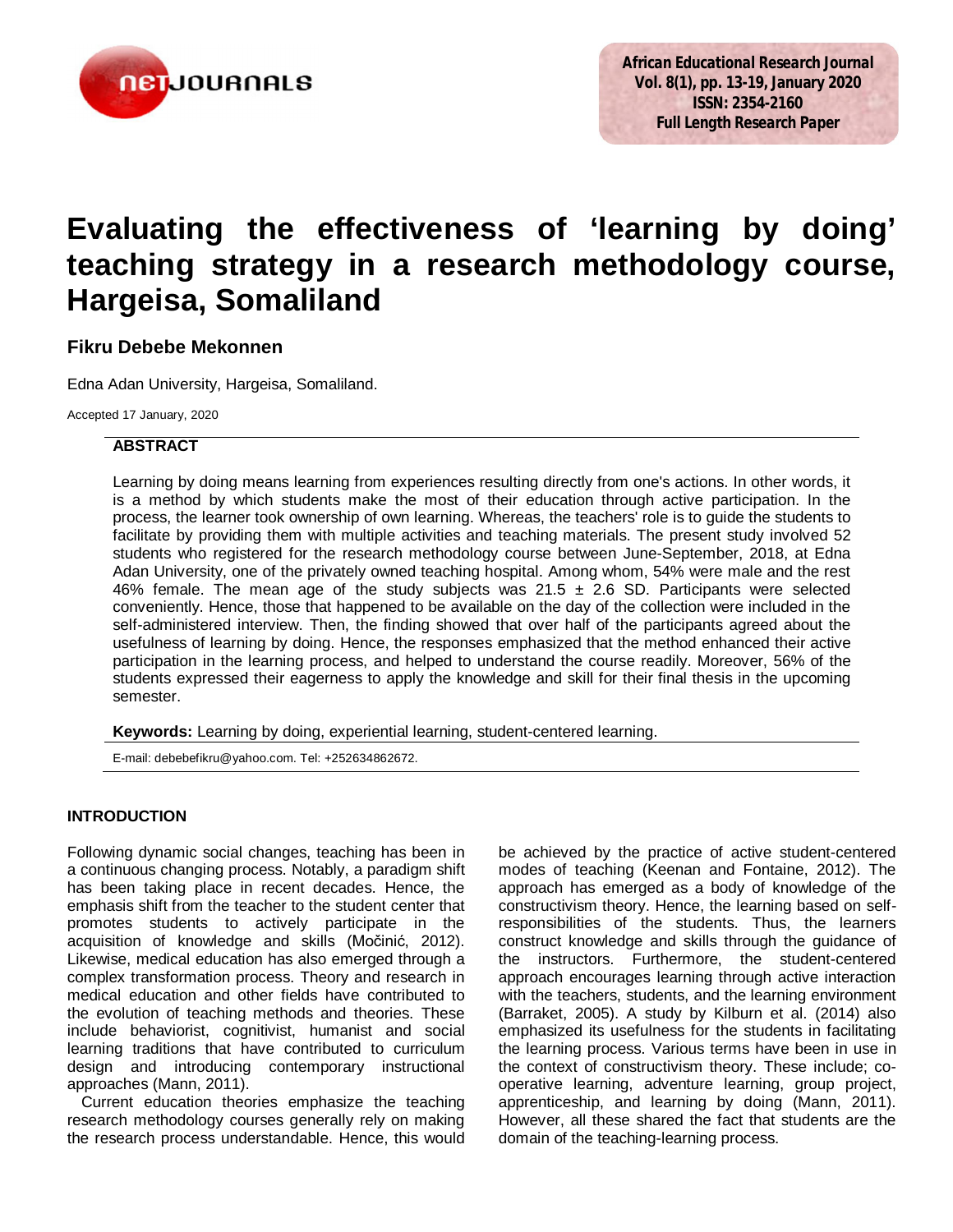

# **Evaluating the effectiveness of 'learning by doing' teaching strategy in a research methodology course, Hargeisa, Somaliland**

## **Fikru Debebe Mekonnen**

Edna Adan University, Hargeisa, Somaliland.

Accepted 17 January, 2020

## **ABSTRACT**

Learning by doing means learning from experiences resulting directly from one's actions. In other words, it is a method by which students make the most of their education through active participation. In the process, the learner took ownership of own learning. Whereas, the teachers' role is to guide the students to facilitate by providing them with multiple activities and teaching materials. The present study involved 52 students who registered for the research methodology course between June-September, 2018, at Edna Adan University, one of the privately owned teaching hospital. Among whom, 54% were male and the rest 46% female. The mean age of the study subjects was  $21.5 \pm 2.6$  SD. Participants were selected conveniently. Hence, those that happened to be available on the day of the collection were included in the self-administered interview. Then, the finding showed that over half of the participants agreed about the usefulness of learning by doing. Hence, the responses emphasized that the method enhanced their active participation in the learning process, and helped to understand the course readily. Moreover, 56% of the students expressed their eagerness to apply the knowledge and skill for their final thesis in the upcoming semester.

**Keywords:** Learning by doing, experiential learning, student-centered learning.

E-mail: debebefikru@yahoo.com. Tel: +252634862672.

## **INTRODUCTION**

Following dynamic social changes, teaching has been in a continuous changing process. Notably, a paradigm shift has been taking place in recent decades. Hence, the emphasis shift from the teacher to the student center that promotes students to actively participate in the acquisition of knowledge and skills (Močinić, 2012). Likewise, medical education has also emerged through a complex transformation process. Theory and research in medical education and other fields have contributed to the evolution of teaching methods and theories. These include behaviorist, cognitivist, humanist and social learning traditions that have contributed to curriculum design and introducing contemporary instructional approaches (Mann, 2011).

Current education theories emphasize the teaching research methodology courses generally rely on making the research process understandable. Hence, this would be achieved by the practice of active student-centered modes of teaching (Keenan and Fontaine, 2012). The approach has emerged as a body of knowledge of the constructivism theory. Hence, the learning based on selfresponsibilities of the students. Thus, the learners construct knowledge and skills through the guidance of the instructors. Furthermore, the student-centered approach encourages learning through active interaction with the teachers, students, and the learning environment (Barraket, 2005). A study by Kilburn et al. (2014) also emphasized its usefulness for the students in facilitating the learning process. Various terms have been in use in the context of constructivism theory. These include; cooperative learning, adventure learning, group project, apprenticeship, and learning by doing (Mann, 2011). However, all these shared the fact that students are the domain of the teaching-learning process.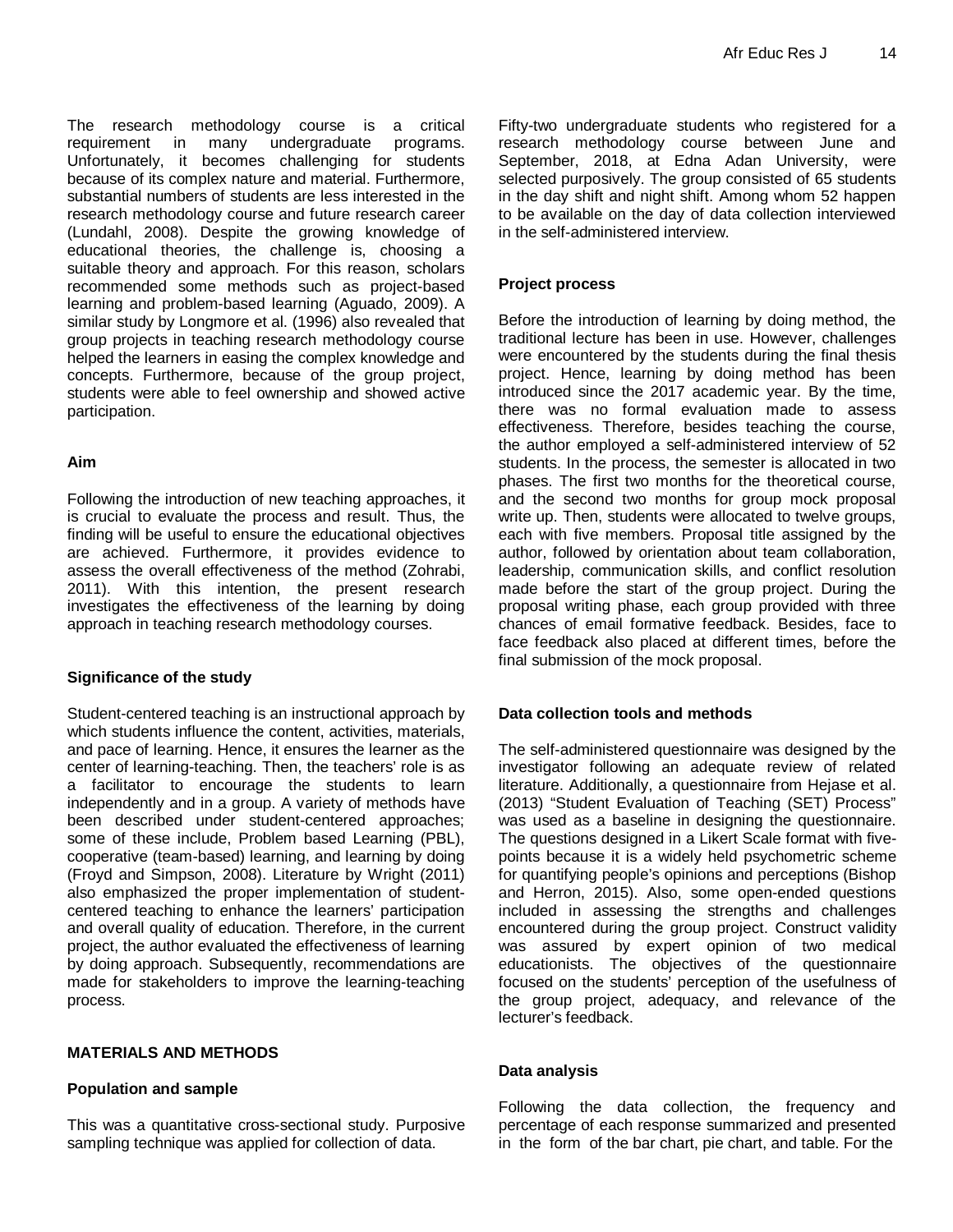The research methodology course is a critical requirement in many undergraduate programs. Unfortunately, it becomes challenging for students because of its complex nature and material. Furthermore, substantial numbers of students are less interested in the research methodology course and future research career (Lundahl, 2008). Despite the growing knowledge of educational theories, the challenge is, choosing a suitable theory and approach. For this reason, scholars recommended some methods such as project-based learning and problem-based learning (Aguado, 2009). A similar study by Longmore et al. (1996) also revealed that group projects in teaching research methodology course helped the learners in easing the complex knowledge and concepts. Furthermore, because of the group project, students were able to feel ownership and showed active participation.

### **Aim**

Following the introduction of new teaching approaches, it is crucial to evaluate the process and result. Thus, the finding will be useful to ensure the educational objectives are achieved. Furthermore, it provides evidence to assess the overall effectiveness of the method (Zohrabi, 2011). With this intention, the present research investigates the effectiveness of the learning by doing approach in teaching research methodology courses.

## **Significance of the study**

Student-centered teaching is an instructional approach by which students influence the content, activities, materials, and pace of learning. Hence, it ensures the learner as the center of learning-teaching. Then, the teachers' role is as a facilitator to encourage the students to learn independently and in a group. A variety of methods have been described under student-centered approaches; some of these include, Problem based Learning (PBL), cooperative (team-based) learning, and learning by doing (Froyd and Simpson, 2008). Literature by Wright (2011) also emphasized the proper implementation of studentcentered teaching to enhance the learners' participation and overall quality of education. Therefore, in the current project, the author evaluated the effectiveness of learning by doing approach. Subsequently, recommendations are made for stakeholders to improve the learning-teaching process.

## **MATERIALS AND METHODS**

### **Population and sample**

This was a quantitative cross-sectional study. Purposive sampling technique was applied for collection of data.

Fifty-two undergraduate students who registered for a research methodology course between June and September, 2018, at Edna Adan University, were selected purposively. The group consisted of 65 students in the day shift and night shift. Among whom 52 happen to be available on the day of data collection interviewed in the self-administered interview.

## **Project process**

Before the introduction of learning by doing method, the traditional lecture has been in use. However, challenges were encountered by the students during the final thesis project. Hence, learning by doing method has been introduced since the 2017 academic year. By the time, there was no formal evaluation made to assess effectiveness. Therefore, besides teaching the course, the author employed a self-administered interview of 52 students. In the process, the semester is allocated in two phases. The first two months for the theoretical course, and the second two months for group mock proposal write up. Then, students were allocated to twelve groups, each with five members. Proposal title assigned by the author, followed by orientation about team collaboration, leadership, communication skills, and conflict resolution made before the start of the group project. During the proposal writing phase, each group provided with three chances of email formative feedback. Besides, face to face feedback also placed at different times, before the final submission of the mock proposal.

## **Data collection tools and methods**

The self-administered questionnaire was designed by the investigator following an adequate review of related literature. Additionally, a questionnaire from Hejase et al. (2013) "Student Evaluation of Teaching (SET) Process" was used as a baseline in designing the questionnaire. The questions designed in a Likert Scale format with fivepoints because it is a widely held psychometric scheme for quantifying people's opinions and perceptions (Bishop and Herron, 2015). Also, some open-ended questions included in assessing the strengths and challenges encountered during the group project. Construct validity was assured by expert opinion of two medical educationists. The objectives of the questionnaire focused on the students' perception of the usefulness of the group project, adequacy, and relevance of the lecturer's feedback.

### **Data analysis**

Following the data collection, the frequency and percentage of each response summarized and presented in the form of the bar chart, pie chart, and table. For the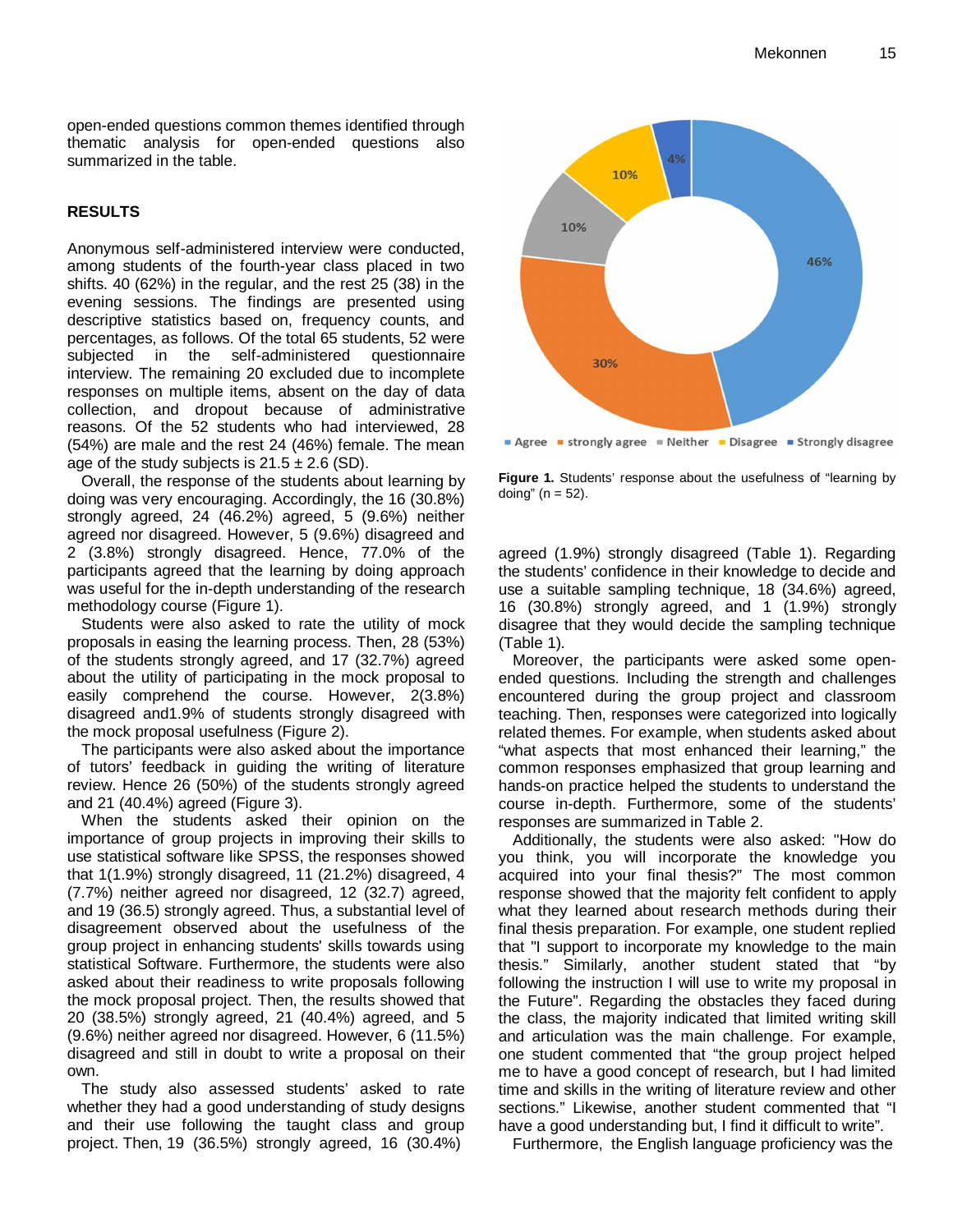open-ended questions common themes identified through thematic analysis for open-ended questions also summarized in the table.

#### **RESULTS**

Anonymous self-administered interview were conducted, among students of the fourth-year class placed in two shifts. 40 (62%) in the regular, and the rest 25 (38) in the evening sessions. The findings are presented using descriptive statistics based on, frequency counts, and percentages, as follows. Of the total 65 students, 52 were subjected in the self-administered questionnaire interview. The remaining 20 excluded due to incomplete responses on multiple items, absent on the day of data collection, and dropout because of administrative reasons. Of the 52 students who had interviewed, 28 (54%) are male and the rest 24 (46%) female. The mean age of the study subjects is  $21.5 \pm 2.6$  (SD).

Overall, the response of the students about learning by doing was very encouraging. Accordingly, the 16 (30.8%) strongly agreed, 24 (46.2%) agreed, 5 (9.6%) neither agreed nor disagreed. However, 5 (9.6%) disagreed and 2 (3.8%) strongly disagreed. Hence, 77.0% of the participants agreed that the learning by doing approach was useful for the in-depth understanding of the research methodology course (Figure 1).

Students were also asked to rate the utility of mock proposals in easing the learning process. Then, 28 (53%) of the students strongly agreed, and 17 (32.7%) agreed about the utility of participating in the mock proposal to easily comprehend the course. However, 2(3.8%) disagreed and1.9% of students strongly disagreed with the mock proposal usefulness (Figure 2).

The participants were also asked about the importance of tutors' feedback in guiding the writing of literature review. Hence 26 (50%) of the students strongly agreed and 21 (40.4%) agreed (Figure 3).

When the students asked their opinion on the importance of group projects in improving their skills to use statistical software like SPSS, the responses showed that 1(1.9%) strongly disagreed, 11 (21.2%) disagreed, 4 (7.7%) neither agreed nor disagreed, 12 (32.7) agreed, and 19 (36.5) strongly agreed. Thus, a substantial level of disagreement observed about the usefulness of the group project in enhancing students' skills towards using statistical Software. Furthermore, the students were also asked about their readiness to write proposals following the mock proposal project. Then, the results showed that 20 (38.5%) strongly agreed, 21 (40.4%) agreed, and 5 (9.6%) neither agreed nor disagreed. However, 6 (11.5%) disagreed and still in doubt to write a proposal on their own.

The study also assessed students' asked to rate whether they had a good understanding of study designs and their use following the taught class and group project. Then, 19 (36.5%) strongly agreed, 16 (30.4%)



**Figure 1.** Students' response about the usefulness of "learning by doing" ( $n = 52$ ).

agreed (1.9%) strongly disagreed (Table 1). Regarding the students' confidence in their knowledge to decide and use a suitable sampling technique, 18 (34.6%) agreed, 16 (30.8%) strongly agreed, and 1 (1.9%) strongly disagree that they would decide the sampling technique (Table 1).

Moreover, the participants were asked some openended questions. Including the strength and challenges encountered during the group project and classroom teaching. Then, responses were categorized into logically related themes. For example, when students asked about "what aspects that most enhanced their learning," the common responses emphasized that group learning and hands-on practice helped the students to understand the course in-depth. Furthermore, some of the students' responses are summarized in Table 2.

Additionally, the students were also asked: "How do you think, you will incorporate the knowledge you acquired into your final thesis?" The most common response showed that the majority felt confident to apply what they learned about research methods during their final thesis preparation. For example, one student replied that "I support to incorporate my knowledge to the main thesis." Similarly, another student stated that "by following the instruction I will use to write my proposal in the Future". Regarding the obstacles they faced during the class, the majority indicated that limited writing skill and articulation was the main challenge. For example, one student commented that "the group project helped me to have a good concept of research, but I had limited time and skills in the writing of literature review and other sections." Likewise, another student commented that "I have a good understanding but, I find it difficult to write".

Furthermore, the English language proficiency was the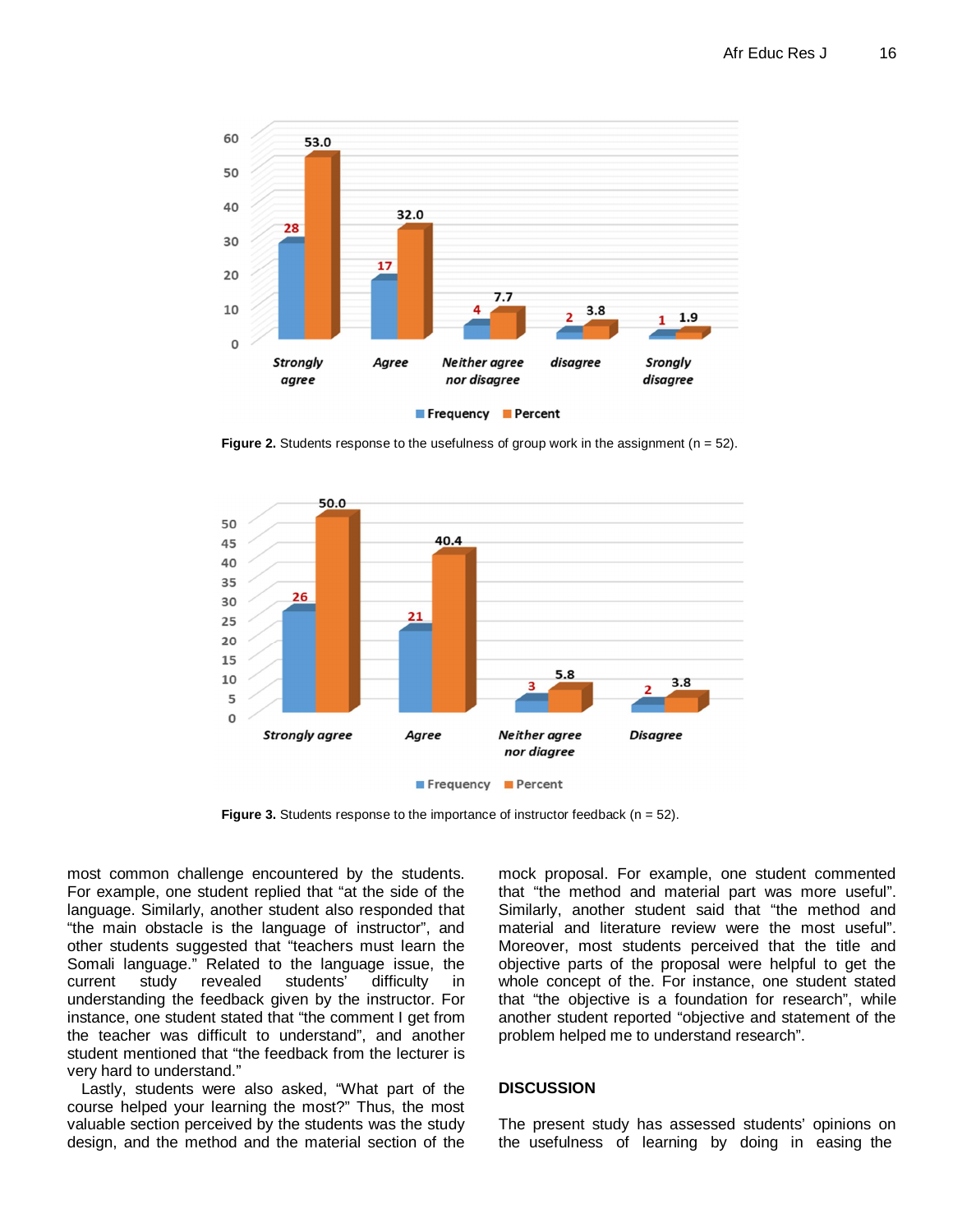

**Figure 2.** Students response to the usefulness of group work in the assignment (n = 52).



Frequency Percent

**Figure 3.** Students response to the importance of instructor feedback (n = 52).

most common challenge encountered by the students. For example, one student replied that "at the side of the language. Similarly, another student also responded that "the main obstacle is the language of instructor", and other students suggested that "teachers must learn the Somali language." Related to the language issue, the current study revealed students' difficulty in understanding the feedback given by the instructor. For instance, one student stated that "the comment I get from the teacher was difficult to understand", and another student mentioned that "the feedback from the lecturer is very hard to understand."

Lastly, students were also asked, "What part of the course helped your learning the most?" Thus, the most valuable section perceived by the students was the study design, and the method and the material section of the mock proposal. For example, one student commented that "the method and material part was more useful". Similarly, another student said that "the method and material and literature review were the most useful". Moreover, most students perceived that the title and objective parts of the proposal were helpful to get the whole concept of the. For instance, one student stated that "the objective is a foundation for research", while another student reported "objective and statement of the problem helped me to understand research".

#### **DISCUSSION**

The present study has assessed students' opinions on the usefulness of learning by doing in easing the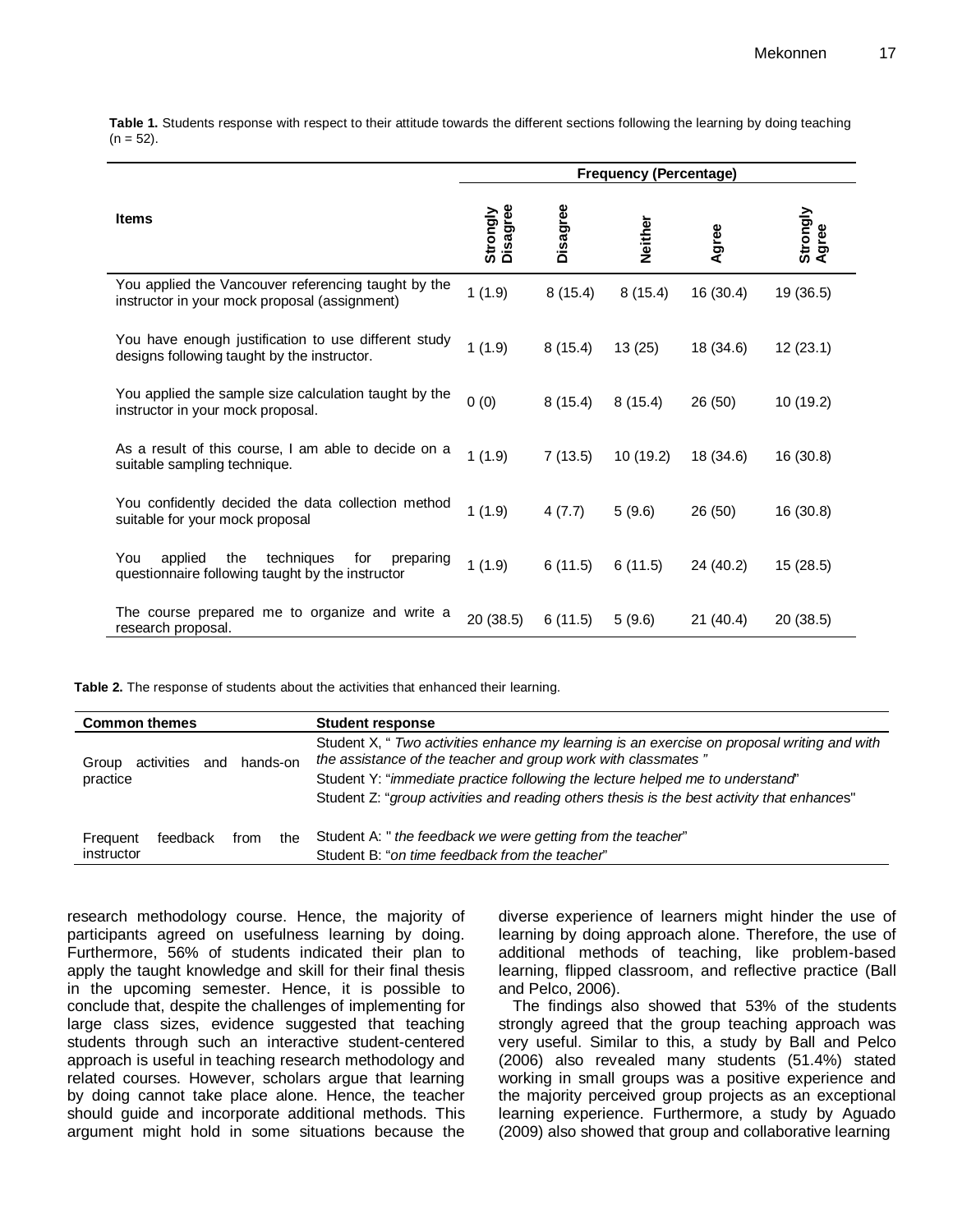**Table 1.** Students response with respect to their attitude towards the different sections following the learning by doing teaching  $(n = 52)$ .

|                                                                                                             | <b>Frequency (Percentage)</b> |          |                |           |                   |
|-------------------------------------------------------------------------------------------------------------|-------------------------------|----------|----------------|-----------|-------------------|
| <b>Items</b>                                                                                                | Disagree<br>Strongly          | Disagree | <b>Neither</b> | Agree     | Strongly<br>Agree |
| You applied the Vancouver referencing taught by the<br>instructor in your mock proposal (assignment)        | 1(1.9)                        | 8(15.4)  | 8(15.4)        | 16 (30.4) | 19 (36.5)         |
| You have enough justification to use different study<br>designs following taught by the instructor.         | 1(1.9)                        | 8(15.4)  | 13(25)         | 18 (34.6) | 12(23.1)          |
| You applied the sample size calculation taught by the<br>instructor in your mock proposal.                  | 0(0)                          | 8(15.4)  | 8(15.4)        | 26 (50)   | 10 (19.2)         |
| As a result of this course, I am able to decide on a<br>suitable sampling technique.                        | 1(1.9)                        | 7(13.5)  | 10 (19.2)      | 18 (34.6) | 16 (30.8)         |
| You confidently decided the data collection method<br>suitable for your mock proposal                       | 1(1.9)                        | 4(7.7)   | 5(9.6)         | 26 (50)   | 16 (30.8)         |
| You<br>applied<br>the<br>techniques<br>for<br>preparing<br>questionnaire following taught by the instructor | 1(1.9)                        | 6(11.5)  | 6(11.5)        | 24 (40.2) | 15 (28.5)         |
| The course prepared me to organize and write a<br>research proposal.                                        | 20(38.5)                      | 6(11.5)  | 5(9.6)         | 21(40.4)  | 20 (38.5)         |

**Table 2.** The response of students about the activities that enhanced their learning.

| <b>Common themes</b>                   | <b>Student response</b>                                                                                                                                      |  |  |
|----------------------------------------|--------------------------------------------------------------------------------------------------------------------------------------------------------------|--|--|
| hands-on<br>activities<br>Group<br>and | Student X, " Two activities enhance my learning is an exercise on proposal writing and with<br>the assistance of the teacher and group work with classmates" |  |  |
| practice                               | Student Y: "immediate practice following the lecture helped me to understand"                                                                                |  |  |
|                                        | Student Z: "group activities and reading others thesis is the best activity that enhances"                                                                   |  |  |
| feedback<br>the<br>Frequent<br>from    | Student A: " the feedback we were getting from the teacher"                                                                                                  |  |  |
| instructor                             | Student B: "on time feedback from the teacher"                                                                                                               |  |  |

research methodology course. Hence, the majority of participants agreed on usefulness learning by doing. Furthermore, 56% of students indicated their plan to apply the taught knowledge and skill for their final thesis in the upcoming semester. Hence, it is possible to conclude that, despite the challenges of implementing for large class sizes, evidence suggested that teaching students through such an interactive student-centered approach is useful in teaching research methodology and related courses. However, scholars argue that learning by doing cannot take place alone. Hence, the teacher should guide and incorporate additional methods. This argument might hold in some situations because the

diverse experience of learners might hinder the use of learning by doing approach alone. Therefore, the use of additional methods of teaching, like problem-based learning, flipped classroom, and reflective practice (Ball and Pelco, 2006).

The findings also showed that 53% of the students strongly agreed that the group teaching approach was very useful. Similar to this, a study by Ball and Pelco (2006) also revealed many students (51.4%) stated working in small groups was a positive experience and the majority perceived group projects as an exceptional learning experience. Furthermore, a study by Aguado (2009) also showed that group and collaborative learning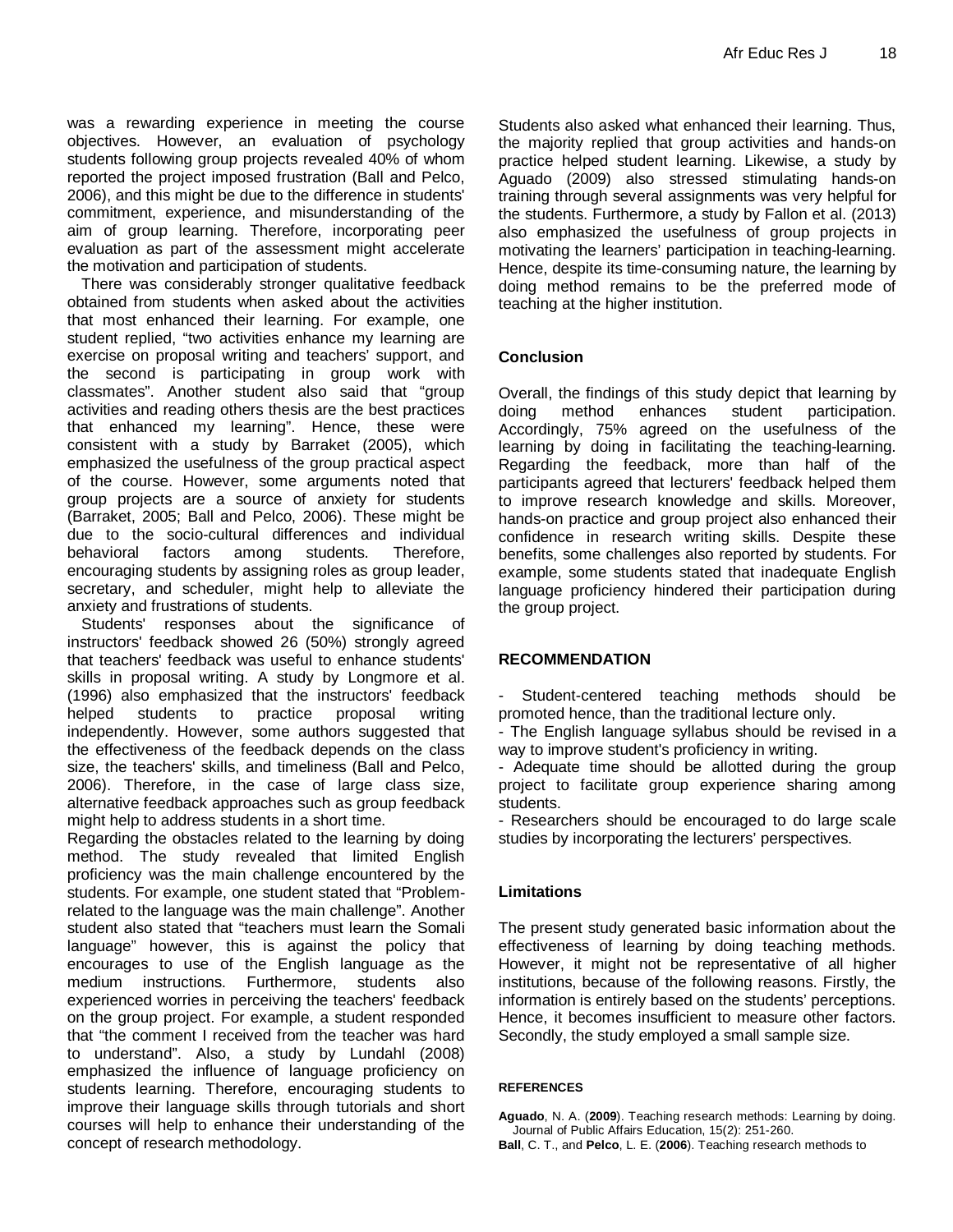was a rewarding experience in meeting the course objectives. However, an evaluation of psychology students following group projects revealed 40% of whom reported the project imposed frustration (Ball and Pelco, 2006), and this might be due to the difference in students' commitment, experience, and misunderstanding of the aim of group learning. Therefore, incorporating peer evaluation as part of the assessment might accelerate the motivation and participation of students.

There was considerably stronger qualitative feedback obtained from students when asked about the activities that most enhanced their learning. For example, one student replied, "two activities enhance my learning are exercise on proposal writing and teachers' support, and the second is participating in group work with classmates". Another student also said that "group activities and reading others thesis are the best practices that enhanced my learning". Hence, these were consistent with a study by Barraket (2005), which emphasized the usefulness of the group practical aspect of the course. However, some arguments noted that group projects are a source of anxiety for students (Barraket, 2005; Ball and Pelco, 2006). These might be due to the socio-cultural differences and individual behavioral factors among students. Therefore, encouraging students by assigning roles as group leader, secretary, and scheduler, might help to alleviate the anxiety and frustrations of students.

Students' responses about the significance of instructors' feedback showed 26 (50%) strongly agreed that teachers' feedback was useful to enhance students' skills in proposal writing. A study by Longmore et al. (1996) also emphasized that the instructors' feedback helped students to practice proposal writing independently. However, some authors suggested that the effectiveness of the feedback depends on the class size, the teachers' skills, and timeliness (Ball and Pelco, 2006). Therefore, in the case of large class size, alternative feedback approaches such as group feedback might help to address students in a short time.

Regarding the obstacles related to the learning by doing method. The study revealed that limited English proficiency was the main challenge encountered by the students. For example, one student stated that "Problemrelated to the language was the main challenge". Another student also stated that "teachers must learn the Somali language" however, this is against the policy that encourages to use of the English language as the medium instructions. Furthermore, students also experienced worries in perceiving the teachers' feedback on the group project. For example, a student responded that "the comment I received from the teacher was hard to understand". Also, a study by Lundahl (2008) emphasized the influence of language proficiency on students learning. Therefore, encouraging students to improve their language skills through tutorials and short courses will help to enhance their understanding of the concept of research methodology.

Students also asked what enhanced their learning. Thus, the majority replied that group activities and hands-on practice helped student learning. Likewise, a study by Aguado (2009) also stressed stimulating hands-on training through several assignments was very helpful for the students. Furthermore, a study by Fallon et al. (2013) also emphasized the usefulness of group projects in motivating the learners' participation in teaching-learning. Hence, despite its time-consuming nature, the learning by doing method remains to be the preferred mode of teaching at the higher institution.

## **Conclusion**

Overall, the findings of this study depict that learning by doing method enhances student participation. Accordingly, 75% agreed on the usefulness of the learning by doing in facilitating the teaching-learning. Regarding the feedback, more than half of the participants agreed that lecturers' feedback helped them to improve research knowledge and skills. Moreover, hands-on practice and group project also enhanced their confidence in research writing skills. Despite these benefits, some challenges also reported by students. For example, some students stated that inadequate English language proficiency hindered their participation during the group project.

### **RECOMMENDATION**

Student-centered teaching methods should be promoted hence, than the traditional lecture only.

- The English language syllabus should be revised in a way to improve student's proficiency in writing.

- Adequate time should be allotted during the group project to facilitate group experience sharing among students.

- Researchers should be encouraged to do large scale studies by incorporating the lecturers' perspectives.

### **Limitations**

The present study generated basic information about the effectiveness of learning by doing teaching methods. However, it might not be representative of all higher institutions, because of the following reasons. Firstly, the information is entirely based on the students' perceptions. Hence, it becomes insufficient to measure other factors. Secondly, the study employed a small sample size.

#### **REFERENCES**

**Aguado**, N. A. (**2009**). Teaching research methods: Learning by doing. Journal of Public Affairs Education, 15(2): 251-260. **Ball**, C. T., and **Pelco**, L. E. (**2006**). Teaching research methods to